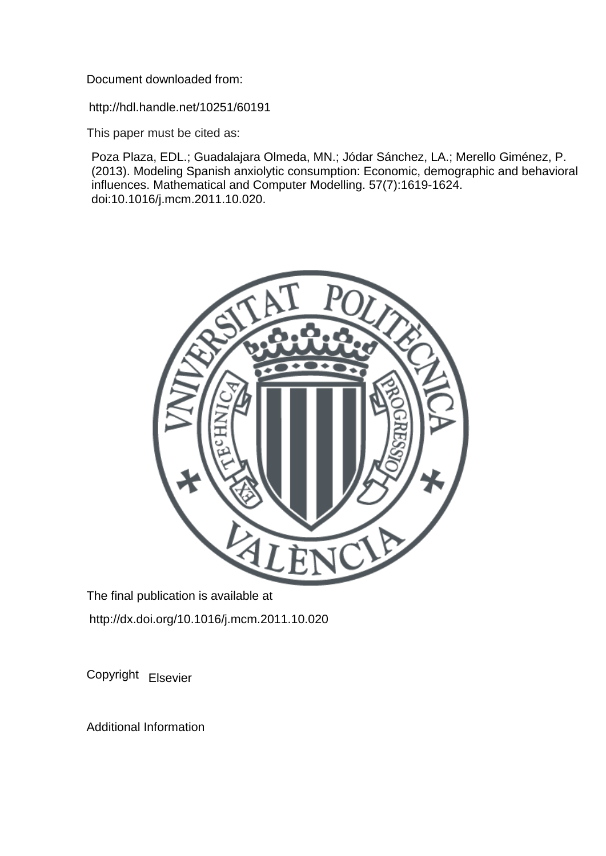Document downloaded from:

http://hdl.handle.net/10251/60191

This paper must be cited as:

Poza Plaza, EDL.; Guadalajara Olmeda, MN.; Jódar Sánchez, LA.; Merello Giménez, P. (2013). Modeling Spanish anxiolytic consumption: Economic, demographic and behavioral influences. Mathematical and Computer Modelling. 57(7):1619-1624. doi:10.1016/j.mcm.2011.10.020.



The final publication is available at http://dx.doi.org/10.1016/j.mcm.2011.10.020

Copyright Elsevier

Additional Information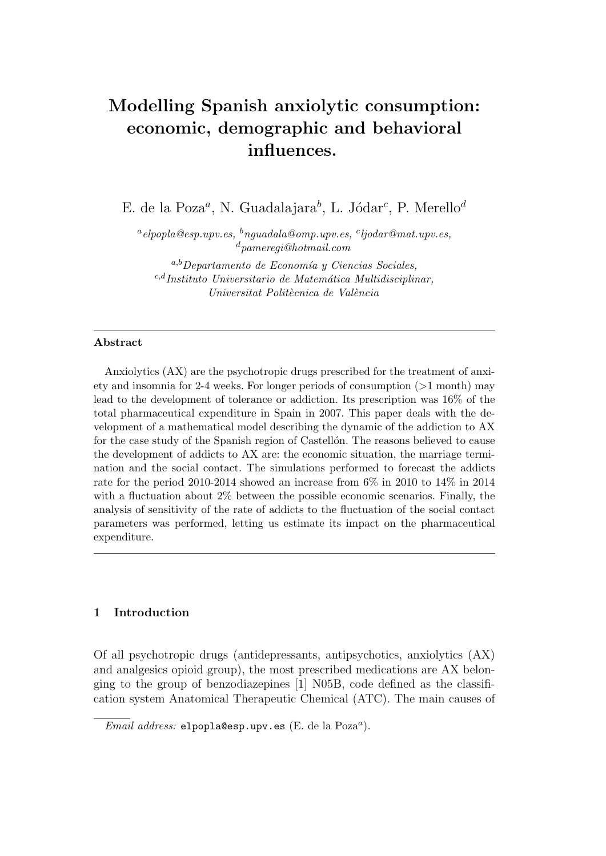# Modelling Spanish anxiolytic consumption: economic, demographic and behavioral influences.

E. de la Poza<sup>a</sup>, N. Guadalajara<sup>b</sup>, L. Jódar<sup>c</sup>, P. Merello<sup>d</sup>

 $^{a}$ elpopla@esp.upv.es,  $^{b}$ nguadala@omp.upv.es,  $^{c}$ ljodar@mat.upv.es,  $^d$ pameregi@hotmail.com

 $a,b$ Departamento de Economía y Ciencias Sociales,  $c,d$ Instituto Universitario de Matemática Multidisciplinar, Universitat Politècnica de València

## Abstract

Anxiolytics (AX) are the psychotropic drugs prescribed for the treatment of anxiety and insomnia for 2-4 weeks. For longer periods of consumption (>1 month) may lead to the development of tolerance or addiction. Its prescription was 16% of the total pharmaceutical expenditure in Spain in 2007. This paper deals with the development of a mathematical model describing the dynamic of the addiction to AX for the case study of the Spanish region of Castellon. The reasons believed to cause the development of addicts to AX are: the economic situation, the marriage termination and the social contact. The simulations performed to forecast the addicts rate for the period 2010-2014 showed an increase from 6% in 2010 to 14% in 2014 with a fluctuation about 2% between the possible economic scenarios. Finally, the analysis of sensitivity of the rate of addicts to the fluctuation of the social contact parameters was performed, letting us estimate its impact on the pharmaceutical expenditure.

# 1 Introduction

Of all psychotropic drugs (antidepressants, antipsychotics, anxiolytics (AX) and analgesics opioid group), the most prescribed medications are AX belonging to the group of benzodiazepines [1] N05B, code defined as the classification system Anatomical Therapeutic Chemical (ATC). The main causes of

Email address: elpopla@esp.upv.es (E. de la Poza<sup>a</sup>).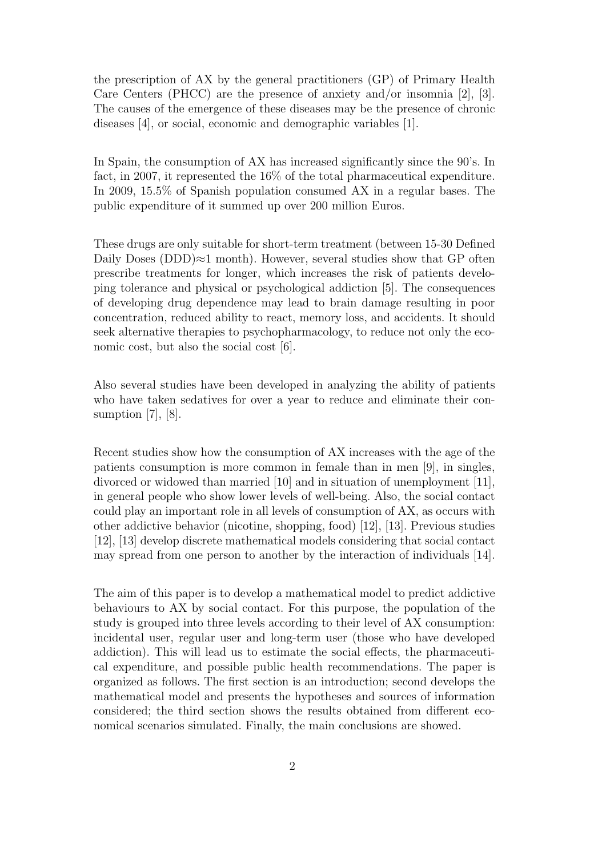the prescription of AX by the general practitioners (GP) of Primary Health Care Centers (PHCC) are the presence of anxiety and/or insomnia [2], [3]. The causes of the emergence of these diseases may be the presence of chronic diseases [4], or social, economic and demographic variables [1].

In Spain, the consumption of AX has increased significantly since the 90's. In fact, in 2007, it represented the 16% of the total pharmaceutical expenditure. In 2009, 15.5% of Spanish population consumed AX in a regular bases. The public expenditure of it summed up over 200 million Euros.

These drugs are only suitable for short-term treatment (between 15-30 Defined Daily Doses (DDD) $≈1$  month). However, several studies show that GP often prescribe treatments for longer, which increases the risk of patients developing tolerance and physical or psychological addiction [5]. The consequences of developing drug dependence may lead to brain damage resulting in poor concentration, reduced ability to react, memory loss, and accidents. It should seek alternative therapies to psychopharmacology, to reduce not only the economic cost, but also the social cost [6].

Also several studies have been developed in analyzing the ability of patients who have taken sedatives for over a year to reduce and eliminate their consumption  $[7]$ ,  $[8]$ .

Recent studies show how the consumption of AX increases with the age of the patients consumption is more common in female than in men [9], in singles, divorced or widowed than married [10] and in situation of unemployment [11], in general people who show lower levels of well-being. Also, the social contact could play an important role in all levels of consumption of AX, as occurs with other addictive behavior (nicotine, shopping, food) [12], [13]. Previous studies [12], [13] develop discrete mathematical models considering that social contact may spread from one person to another by the interaction of individuals [14].

The aim of this paper is to develop a mathematical model to predict addictive behaviours to AX by social contact. For this purpose, the population of the study is grouped into three levels according to their level of AX consumption: incidental user, regular user and long-term user (those who have developed addiction). This will lead us to estimate the social effects, the pharmaceutical expenditure, and possible public health recommendations. The paper is organized as follows. The first section is an introduction; second develops the mathematical model and presents the hypotheses and sources of information considered; the third section shows the results obtained from different economical scenarios simulated. Finally, the main conclusions are showed.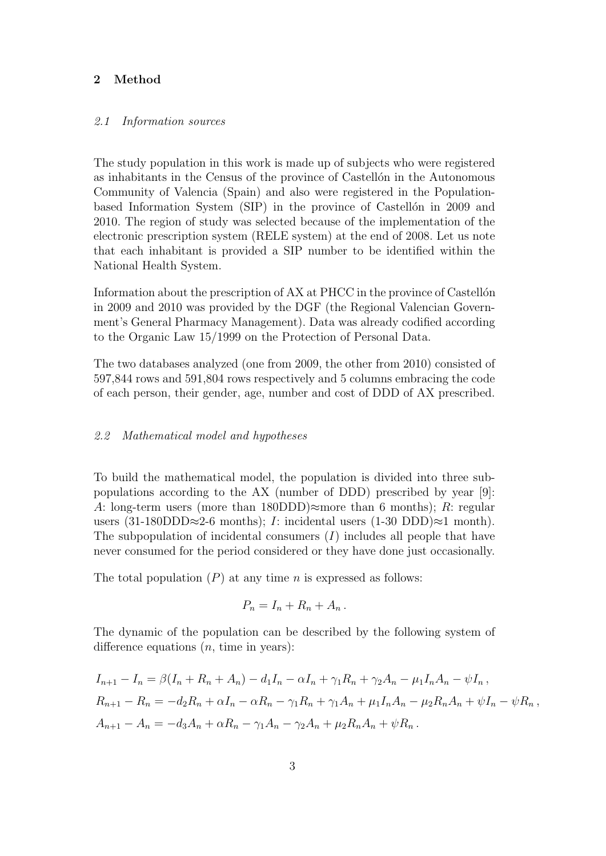## 2 Method

#### 2.1 Information sources

The study population in this work is made up of subjects who were registered as inhabitants in the Census of the province of Castellon in the Autonomous Community of Valencia (Spain) and also were registered in the Populationbased Information System (SIP) in the province of Castellon in 2009 and 2010. The region of study was selected because of the implementation of the electronic prescription system (RELE system) at the end of 2008. Let us note that each inhabitant is provided a SIP number to be identified within the National Health System.

Information about the prescription of AX at PHCC in the province of Castellon in 2009 and 2010 was provided by the DGF (the Regional Valencian Government's General Pharmacy Management). Data was already codified according to the Organic Law 15/1999 on the Protection of Personal Data.

The two databases analyzed (one from 2009, the other from 2010) consisted of 597,844 rows and 591,804 rows respectively and 5 columns embracing the code of each person, their gender, age, number and cost of DDD of AX prescribed.

#### 2.2 Mathematical model and hypotheses

To build the mathematical model, the population is divided into three subpopulations according to the AX (number of DDD) prescribed by year [9]: A: long-term users (more than 180DDD) $\approx$ more than 6 months); R: regular users (31-180DDD≈2-6 months); I: incidental users (1-30 DDD)≈1 month). The subpopulation of incidental consumers  $(I)$  includes all people that have never consumed for the period considered or they have done just occasionally.

The total population  $(P)$  at any time n is expressed as follows:

$$
P_n = I_n + R_n + A_n.
$$

The dynamic of the population can be described by the following system of difference equations  $(n, \text{ time in years})$ :

$$
I_{n+1} - I_n = \beta (I_n + R_n + A_n) - d_1 I_n - \alpha I_n + \gamma_1 R_n + \gamma_2 A_n - \mu_1 I_n A_n - \psi I_n,
$$
  
\n
$$
R_{n+1} - R_n = -d_2 R_n + \alpha I_n - \alpha R_n - \gamma_1 R_n + \gamma_1 A_n + \mu_1 I_n A_n - \mu_2 R_n A_n + \psi I_n - \psi R_n,
$$
  
\n
$$
A_{n+1} - A_n = -d_3 A_n + \alpha R_n - \gamma_1 A_n - \gamma_2 A_n + \mu_2 R_n A_n + \psi R_n.
$$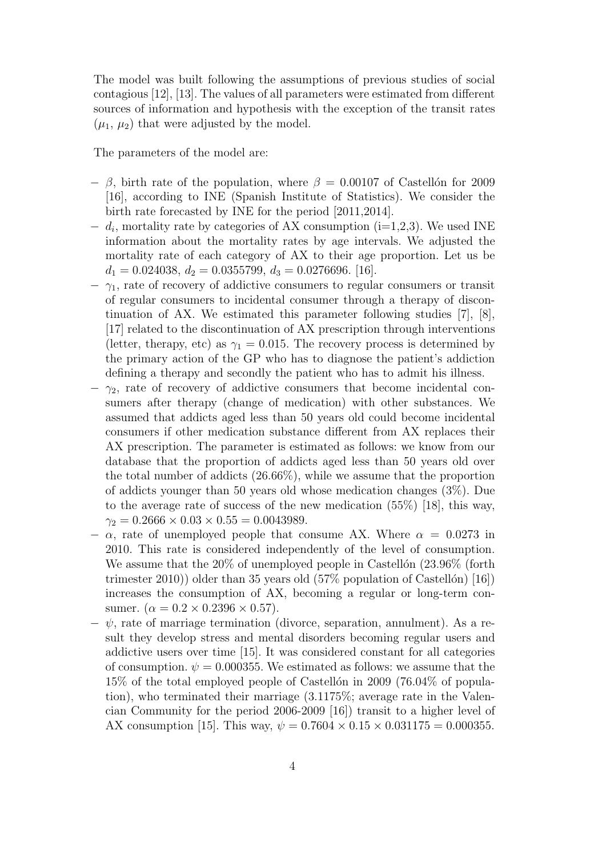The model was built following the assumptions of previous studies of social contagious [12], [13]. The values of all parameters were estimated from different sources of information and hypothesis with the exception of the transit rates  $(\mu_1, \mu_2)$  that were adjusted by the model.

The parameters of the model are:

- $-$  β, birth rate of the population, where  $\beta = 0.00107$  of Castellon for 2009 [16], according to INE (Spanish Institute of Statistics). We consider the birth rate forecasted by INE for the period [2011,2014].
- $d_i$ , mortality rate by categories of AX consumption (i=1,2,3). We used INE information about the mortality rates by age intervals. We adjusted the mortality rate of each category of AX to their age proportion. Let us be  $d_1 = 0.024038, d_2 = 0.0355799, d_3 = 0.0276696.$  [16].
- $-\gamma_1$ , rate of recovery of addictive consumers to regular consumers or transit of regular consumers to incidental consumer through a therapy of discontinuation of AX. We estimated this parameter following studies [7], [8], [17] related to the discontinuation of AX prescription through interventions (letter, therapy, etc) as  $\gamma_1 = 0.015$ . The recovery process is determined by the primary action of the GP who has to diagnose the patient's addiction defining a therapy and secondly the patient who has to admit his illness.
- $-\gamma_2$ , rate of recovery of addictive consumers that become incidental consumers after therapy (change of medication) with other substances. We assumed that addicts aged less than 50 years old could become incidental consumers if other medication substance different from AX replaces their AX prescription. The parameter is estimated as follows: we know from our database that the proportion of addicts aged less than 50 years old over the total number of addicts (26.66%), while we assume that the proportion of addicts younger than 50 years old whose medication changes (3%). Due to the average rate of success of the new medication (55%) [18], this way,  $\gamma_2 = 0.2666 \times 0.03 \times 0.55 = 0.0043989.$
- $\alpha$ , rate of unemployed people that consume AX. Where  $\alpha = 0.0273$  in 2010. This rate is considered independently of the level of consumption. We assume that the  $20\%$  of unemployed people in Castellón  $(23.96\%$  (forth trimester 2010)) older than 35 years old  $(57\%$  population of Castellón) [16]) increases the consumption of AX, becoming a regular or long-term consumer.  $(\alpha = 0.2 \times 0.2396 \times 0.57)$ .
- $-\psi$ , rate of marriage termination (divorce, separation, annulment). As a result they develop stress and mental disorders becoming regular users and addictive users over time [15]. It was considered constant for all categories of consumption.  $\psi = 0.000355$ . We estimated as follows: we assume that the  $15\%$  of the total employed people of Castellón in 2009 (76.04% of population), who terminated their marriage (3.1175%; average rate in the Valencian Community for the period 2006-2009 [16]) transit to a higher level of AX consumption [15]. This way,  $\psi = 0.7604 \times 0.15 \times 0.031175 = 0.000355$ .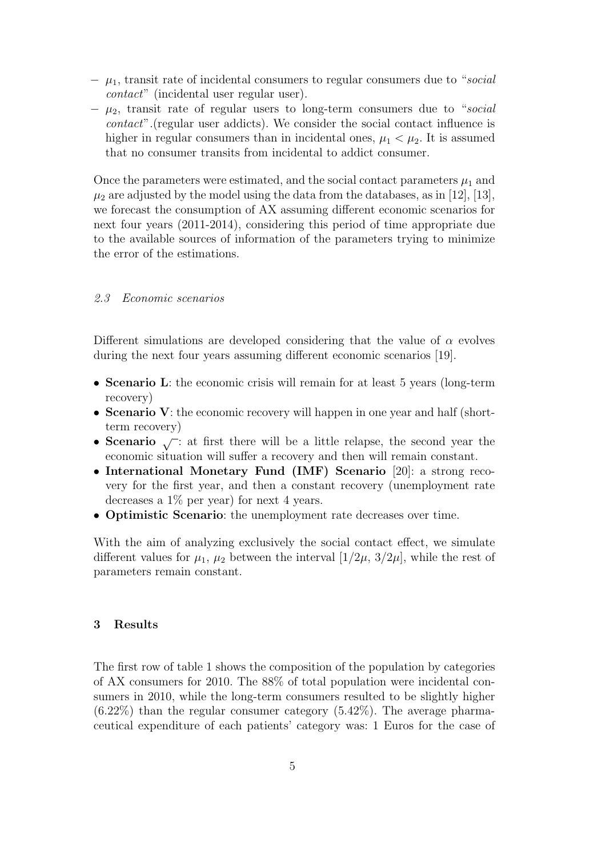- $\mu_1$ , transit rate of incidental consumers to regular consumers due to "social" contact" (incidental user regular user).
- $-\mu_2$ , transit rate of regular users to long-term consumers due to "social" contact".(regular user addicts). We consider the social contact influence is higher in regular consumers than in incidental ones,  $\mu_1 < \mu_2$ . It is assumed that no consumer transits from incidental to addict consumer.

Once the parameters were estimated, and the social contact parameters  $\mu_1$  and  $\mu_2$  are adjusted by the model using the data from the databases, as in [12], [13], we forecast the consumption of AX assuming different economic scenarios for next four years (2011-2014), considering this period of time appropriate due to the available sources of information of the parameters trying to minimize the error of the estimations.

#### 2.3 Economic scenarios

Different simulations are developed considering that the value of  $\alpha$  evolves during the next four years assuming different economic scenarios [19].

- Scenario L: the economic crisis will remain for at least 5 years (long-term recovery)
- Scenario V: the economic recovery will happen in one year and half (shortterm recovery)
- Scenario  $\sqrt{\cdot}$  at first there will be a little relapse, the second year the economic situation will suffer a recovery and then will remain constant.
- International Monetary Fund (IMF) Scenario [20]: a strong recovery for the first year, and then a constant recovery (unemployment rate decreases a 1% per year) for next 4 years.
- Optimistic Scenario: the unemployment rate decreases over time.

With the aim of analyzing exclusively the social contact effect, we simulate different values for  $\mu_1$ ,  $\mu_2$  between the interval  $[1/2\mu, 3/2\mu]$ , while the rest of parameters remain constant.

#### 3 Results

The first row of table 1 shows the composition of the population by categories of AX consumers for 2010. The 88% of total population were incidental consumers in 2010, while the long-term consumers resulted to be slightly higher  $(6.22\%)$  than the regular consumer category  $(5.42\%)$ . The average pharmaceutical expenditure of each patients' category was: 1 Euros for the case of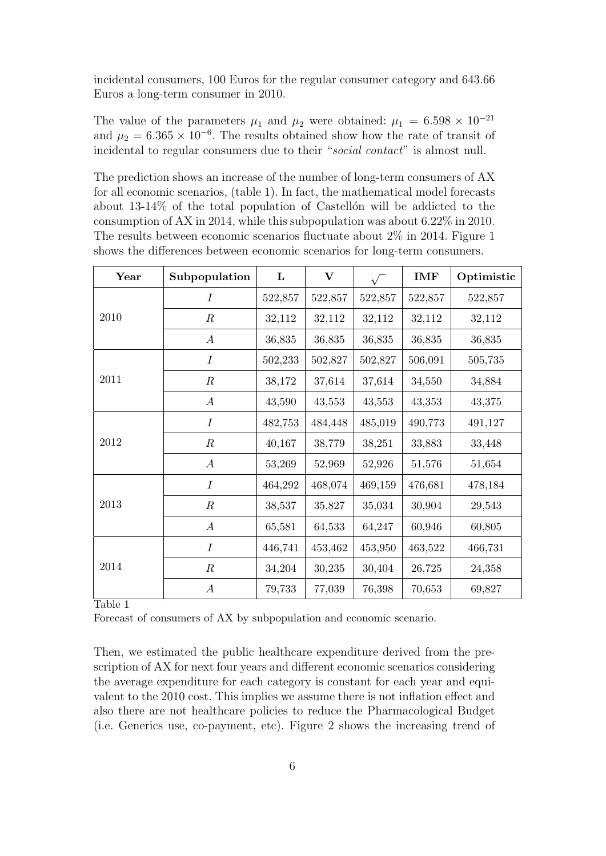incidental consumers, 100 Euros for the regular consumer category and 643.66 Euros a long-term consumer in 2010.

The value of the parameters  $\mu_1$  and  $\mu_2$  were obtained:  $\mu_1 = 6.598 \times 10^{-21}$ and  $\mu_2 = 6.365 \times 10^{-6}$ . The results obtained show how the rate of transit of incidental to regular consumers due to their "social contact" is almost null.

The prediction shows an increase of the number of long-term consumers of AX for all economic scenarios, (table 1). In fact, the mathematical model forecasts about  $13-14\%$  of the total population of Castellón will be addicted to the consumption of AX in 2014, while this subpopulation was about 6.22% in 2010. The results between economic scenarios fluctuate about 2% in 2014. Figure 1 shows the differences between economic scenarios for long-term consumers.

| Year | Subpopulation    | L       | $\bf V$ |         | <b>IMF</b> | Optimistic |
|------|------------------|---------|---------|---------|------------|------------|
| 2010 | $\overline{I}$   | 522,857 | 522,857 | 522,857 | 522,857    | 522,857    |
|      | $\boldsymbol{R}$ | 32,112  | 32,112  | 32,112  | 32,112     | 32,112     |
|      | $\boldsymbol{A}$ | 36,835  | 36,835  | 36,835  | 36,835     | 36,835     |
| 2011 | $\boldsymbol{I}$ | 502,233 | 502,827 | 502,827 | 506,091    | 505,735    |
|      | $\boldsymbol{R}$ | 38,172  | 37,614  | 37,614  | 34,550     | 34,884     |
|      | $\boldsymbol{A}$ | 43,590  | 43,553  | 43,553  | 43,353     | 43,375     |
| 2012 | $\boldsymbol{I}$ | 482,753 | 484,448 | 485,019 | 490,773    | 491,127    |
|      | $\boldsymbol{R}$ | 40,167  | 38,779  | 38,251  | 33,883     | 33,448     |
|      | $\boldsymbol{A}$ | 53,269  | 52,969  | 52,926  | 51,576     | 51,654     |
| 2013 | $\boldsymbol{I}$ | 464,292 | 468,074 | 469,159 | 476,681    | 478,184    |
|      | $\boldsymbol{R}$ | 38,537  | 35,827  | 35,034  | 30,904     | 29,543     |
|      | $\boldsymbol{A}$ | 65,581  | 64,533  | 64,247  | 60,946     | 60,805     |
| 2014 | $\boldsymbol{I}$ | 446,741 | 453,462 | 453,950 | 463,522    | 466,731    |
|      | $\boldsymbol{R}$ | 34,204  | 30,235  | 30,404  | 26,725     | 24,358     |
|      | $\boldsymbol{A}$ | 79,733  | 77,039  | 76,398  | 70,653     | 69,827     |

Table 1

Forecast of consumers of AX by subpopulation and economic scenario.

Then, we estimated the public healthcare expenditure derived from the prescription of AX for next four years and different economic scenarios considering the average expenditure for each category is constant for each year and equivalent to the 2010 cost. This implies we assume there is not inflation effect and also there are not healthcare policies to reduce the Pharmacological Budget (i.e. Generics use, co-payment, etc). Figure 2 shows the increasing trend of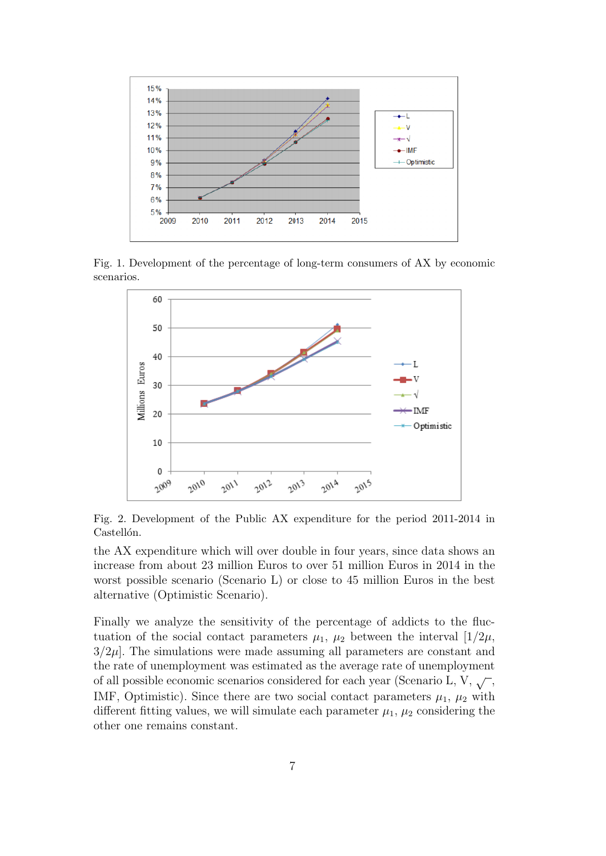

Fig. 1. Development of the percentage of long-term consumers of AX by economic scenarios.



Fig. 2. Development of the Public AX expenditure for the period 2011-2014 in Castellón.

the AX expenditure which will over double in four years, since data shows an increase from about 23 million Euros to over 51 million Euros in 2014 in the worst possible scenario (Scenario L) or close to 45 million Euros in the best alternative (Optimistic Scenario).

Finally we analyze the sensitivity of the percentage of addicts to the fluctuation of the social contact parameters  $\mu_1$ ,  $\mu_2$  between the interval  $[1/2\mu$ ,  $3/2\mu$ . The simulations were made assuming all parameters are constant and the rate of unemployment was estimated as the average rate of unemployment of all possible economic scenarios considered for each year (Scenario L, V,  $\sqrt{\ }$ , IMF, Optimistic). Since there are two social contact parameters  $\mu_1$ ,  $\mu_2$  with different fitting values, we will simulate each parameter  $\mu_1$ ,  $\mu_2$  considering the other one remains constant.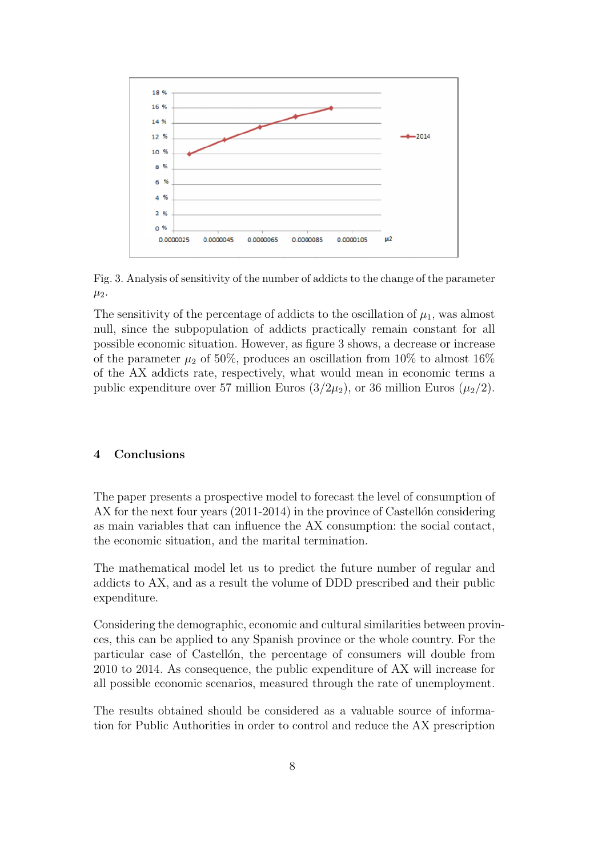

Fig. 3. Analysis of sensitivity of the number of addicts to the change of the parameter  $\mu_2$ .

The sensitivity of the percentage of addicts to the oscillation of  $\mu_1$ , was almost null, since the subpopulation of addicts practically remain constant for all possible economic situation. However, as figure 3 shows, a decrease or increase of the parameter  $\mu_2$  of 50%, produces an oscillation from 10% to almost 16% of the AX addicts rate, respectively, what would mean in economic terms a public expenditure over 57 million Euros  $(3/2\mu_2)$ , or 36 million Euros  $(\mu_2/2)$ .

# 4 Conclusions

The paper presents a prospective model to forecast the level of consumption of AX for the next four years  $(2011-2014)$  in the province of Castellon considering as main variables that can influence the AX consumption: the social contact, the economic situation, and the marital termination.

The mathematical model let us to predict the future number of regular and addicts to AX, and as a result the volume of DDD prescribed and their public expenditure.

Considering the demographic, economic and cultural similarities between provinces, this can be applied to any Spanish province or the whole country. For the particular case of Castellon, the percentage of consumers will double from 2010 to 2014. As consequence, the public expenditure of AX will increase for all possible economic scenarios, measured through the rate of unemployment.

The results obtained should be considered as a valuable source of information for Public Authorities in order to control and reduce the AX prescription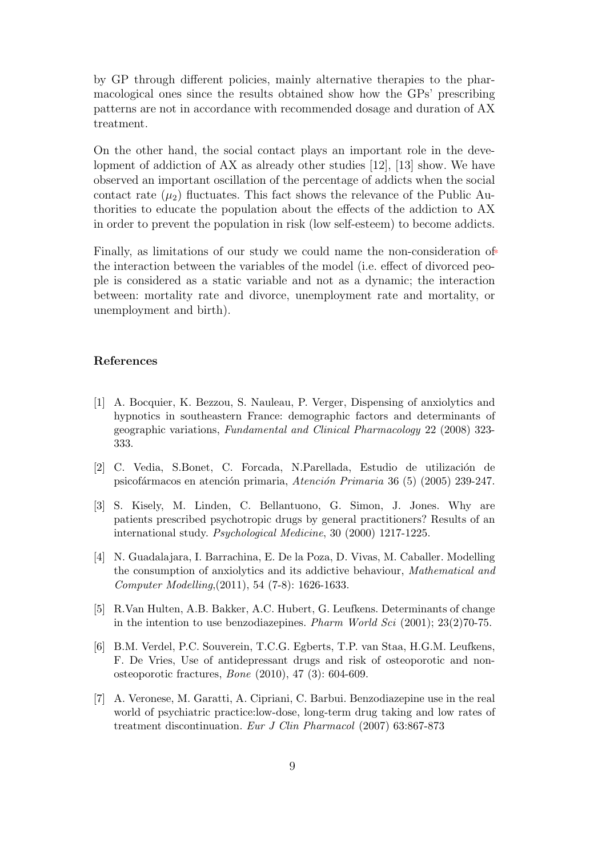by GP through different policies, mainly alternative therapies to the pharmacological ones since the results obtained show how the GPs' prescribing patterns are not in accordance with recommended dosage and duration of AX treatment.

On the other hand, the social contact plays an important role in the development of addiction of AX as already other studies [12], [13] show. We have observed an important oscillation of the percentage of addicts when the social contact rate  $(\mu_2)$  fluctuates. This fact shows the relevance of the Public Authorities to educate the population about the effects of the addiction to AX in order to prevent the population in risk (low self-esteem) to become addicts.

Finally, as limitations of our study we could name the non-consideration of the interaction between the variables of the model (i.e. effect of divorced people is considered as a static variable and not as a dynamic; the interaction between: mortality rate and divorce, unemployment rate and mortality, or unemployment and birth).

#### References

- [1] A. Bocquier, K. Bezzou, S. Nauleau, P. Verger, Dispensing of anxiolytics and hypnotics in southeastern France: demographic factors and determinants of geographic variations, Fundamental and Clinical Pharmacology 22 (2008) 323- 333.
- [2] C. Vedia, S.Bonet, C. Forcada, N.Parellada, Estudio de utilización de psicofármacos en atención primaria, Atención Primaria 36 (5) (2005) 239-247.
- [3] S. Kisely, M. Linden, C. Bellantuono, G. Simon, J. Jones. Why are patients prescribed psychotropic drugs by general practitioners? Results of an international study. Psychological Medicine, 30 (2000) 1217-1225.
- [4] N. Guadalajara, I. Barrachina, E. De la Poza, D. Vivas, M. Caballer. Modelling the consumption of anxiolytics and its addictive behaviour, Mathematical and Computer Modelling,(2011), 54 (7-8): 1626-1633.
- [5] R.Van Hulten, A.B. Bakker, A.C. Hubert, G. Leufkens. Determinants of change in the intention to use benzodiazepines. Pharm World Sci (2001); 23(2)70-75.
- [6] B.M. Verdel, P.C. Souverein, T.C.G. Egberts, T.P. van Staa, H.G.M. Leufkens, F. De Vries, Use of antidepressant drugs and risk of osteoporotic and nonosteoporotic fractures, Bone (2010), 47 (3): 604-609.
- [7] A. Veronese, M. Garatti, A. Cipriani, C. Barbui. Benzodiazepine use in the real world of psychiatric practice:low-dose, long-term drug taking and low rates of treatment discontinuation. Eur J Clin Pharmacol (2007) 63:867-873